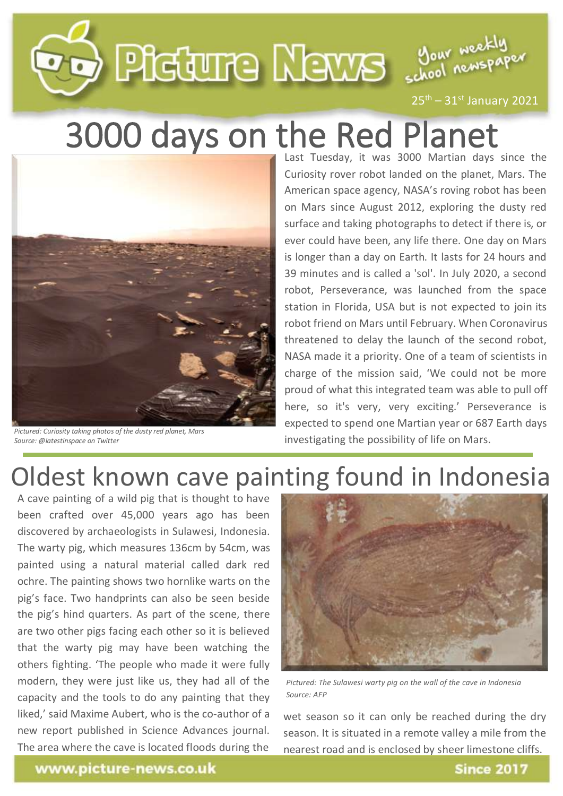## **PD** PIECURE LEWS SOON Neckly

 $25<sup>th</sup> - 31<sup>st</sup>$  January 2021

### 3000 days on the Red Planet



*Pictured: Curiosity taking photos of the dusty red planet, Mars Source: @latestinspace on Twitter*

Last Tuesday, it was 3000 Martian days since the Curiosity rover robot landed on the planet, Mars. The American space agency, NASA's roving robot has been on Mars since August 2012, exploring the dusty red surface and taking photographs to detect if there is, or ever could have been, any life there. One day on Mars is longer than a day on Earth. It lasts for 24 hours and 39 minutes and is called a 'sol'. In July 2020, a second robot, Perseverance, was launched from the space station in Florida, USA but is not expected to join its robot friend on Mars until February. When Coronavirus threatened to delay the launch of the second robot, NASA made it a priority. One of a team of scientists in charge of the mission said, 'We could not be more proud of what this integrated team was able to pull off here, so it's very, very exciting.' Perseverance is expected to spend one Martian year or 687 Earth days investigating the possibility of life on Mars.

### Oldest known cave painting found in Indonesia

A cave painting of a wild pig that is thought to have been crafted over 45,000 years ago has been discovered by archaeologists in Sulawesi, Indonesia. The warty pig, which measures 136cm by 54cm, was painted using a natural material called dark red ochre. The painting shows two hornlike warts on the pig's face. Two handprints can also be seen beside the pig's hind quarters. As part of the scene, there are two other pigs facing each other so it is believed that the warty pig may have been watching the others fighting. 'The people who made it were fully modern, they were just like us, they had all of the capacity and the tools to do any painting that they liked,' said Maxime Aubert, who is the co-author of a new report published in Science Advances journal. The area where the cave is located floods during the



*Pictured: The Sulawesi warty pig on the wall of the cave in Indonesia Source: AFP*

wet season so it can only be reached during the dry season. It is situated in a remote valley a mile from the nearest road and is enclosed by sheer limestone cliffs.